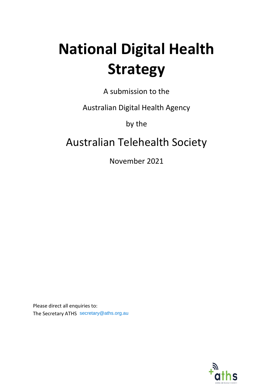# **National Digital Health Strategy**

A submission to the

Australian Digital Health Agency

by the

## Australian Telehealth Society

November 2021

Please direct all enquiries to: The Secretary ATHS secretary@aths.org.au

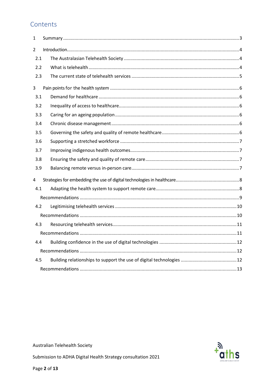#### Contents

| 1                       |  |
|-------------------------|--|
| $\overline{2}$          |  |
| 2.1                     |  |
| 2.2                     |  |
| 2.3                     |  |
| 3                       |  |
| 3.1                     |  |
| 3.2                     |  |
| 3.3                     |  |
| 3.4                     |  |
| 3.5                     |  |
| 3.6                     |  |
| 3.7                     |  |
| 3.8                     |  |
| 3.9                     |  |
| $\overline{\mathbf{4}}$ |  |
| 4.1                     |  |
|                         |  |
| 4.2                     |  |
|                         |  |
| 4.3                     |  |
|                         |  |
| 4.4                     |  |
|                         |  |
| 4.5                     |  |
|                         |  |

**Australian Telehealth Society** 

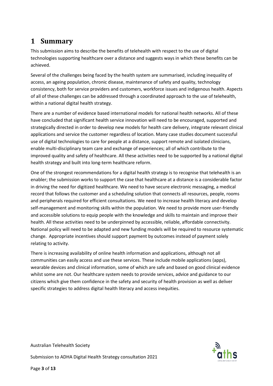## <span id="page-2-0"></span>**1 Summary**

This submission aims to describe the benefits of telehealth with respect to the use of digital technologies supporting healthcare over a distance and suggests ways in which these benefits can be achieved.

Several of the challenges being faced by the health system are summarised, including inequality of access, an ageing population, chronic disease, maintenance of safety and quality, technology consistency, both for service providers and customers, workforce issues and indigenous health. Aspects of all of these challenges can be addressed through a coordinated approach to the use of telehealth, within a national digital health strategy.

There are a number of evidence based international models for national health networks. All of these have concluded that significant health service innovation will need to be encouraged, supported and strategically directed in order to develop new models for health care delivery, integrate relevant clinical applications and service the customer regardless of location. Many case studies document successful use of digital technologies to care for people at a distance, support remote and isolated clinicians, enable multi-disciplinary team care and exchange of experiences; all of which contribute to the improved quality and safety of healthcare. All these activities need to be supported by a national digital health strategy and built into long-term healthcare reform.

One of the strongest recommendations for a digital health strategy is to recognise that telehealth is an enabler; the submission works to support the case that healthcare at a distance is a considerable factor in driving the need for digitized healthcare. We need to have secure electronic messaging, a medical record that follows the customer and a scheduling solution that connects all resources, people, rooms and peripherals required for efficient consultations. We need to increase health literacy and develop self-management and monitoring skills within the population. We need to provide more user-friendly and accessible solutions to equip people with the knowledge and skills to maintain and improve their health. All these activities need to be underpinned by accessible, reliable, affordable connectivity. National policy will need to be adapted and new funding models will be required to resource systematic change. Appropriate incentives should support payment by outcomes instead of payment solely relating to activity.

There is increasing availability of online health information and applications, although not all communities can easily access and use these services. These include mobile applications (apps), wearable devices and clinical information, some of which are safe and based on good clinical evidence whilst some are not. Our healthcare system needs to provide services, advice and guidance to our citizens which give them confidence in the safety and security of health provision as well as deliver specific strategies to address digital health literacy and access inequities.

Australian Telehealth Society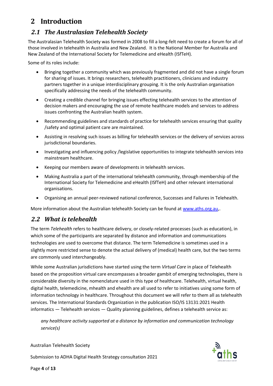## <span id="page-3-0"></span>**2 Introduction**

#### <span id="page-3-1"></span>*2.1 The Australasian Telehealth Society*

The Australasian Telehealth Society was formed in 2008 to fill a long-felt need to create a forum for all of those involved in telehealth in Australia and New Zealand. It is the National Member for Australia and New Zealand of the International Society for Telemedicine and eHealth (ISfTeH).

Some of its roles include:

- Bringing together a community which was previously fragmented and did not have a single forum for sharing of issues. It brings researchers, telehealth practitioners, clinicians and industry partners together in a unique interdisciplinary grouping. It is the only Australian organisation specifically addressing the needs of the telehealth community.
- Creating a credible channel for bringing issues effecting telehealth services to the attention of decision makers and encouraging the use of remote healthcare models and services to address issues confronting the Australian health system.
- Recommending guidelines and standards of practice for telehealth services ensuring that quality /safety and optimal patient care are maintained.
- Assisting in resolving such issues as billing for telehealth services or the delivery of services across jurisdictional boundaries.
- Investigating and influencing policy /legislative opportunities to integrate telehealth services into mainstream healthcare.
- Keeping our members aware of developments in telehealth services.
- Making Australia a part of the international telehealth community, through membership of the International Society for Telemedicine and eHealth (ISfTeH) and other relevant international organisations.
- Organising an annual peer-reviewed national conference, Successes and Failures in Telehealth.

More information about the Australian telehealth Society can be found a[t www.aths.org.au,.](http://www.aths.org.au/)

#### <span id="page-3-2"></span>*2.2 What is telehealth*

The term *Telehealth* refers to healthcare delivery, or closely-related processes (such as education), in which some of the participants are separated by distance and information and communications technologies are used to overcome that distance. The term Telemedicine is sometimes used in a slightly more restricted sense to denote the actual delivery of (medical) health care, but the two terms are commonly used interchangeably.

While some Australian jurisdictions have started using the term *Virtual Care* in place of Telehealth based on the proposition virtual care encompasses a broader gambit of emerging technologies, there is considerable diversity in the nomenclature used in this type of healthcare. Telehealth, virtual health, digital health, telemedicine, mhealth and ehealth are all used to refer to initiatives using some form of information technology in healthcare. Throughout this document we will refer to them all as telehealth services. The International Standards Organization in the publication ISO/IS 13131:2021 Health informatics — Telehealth services — Quality planning guidelines, defines a telehealth service as:

*any healthcare activity supported at a distance by information and communication technology service(s)*

Australian Telehealth Society

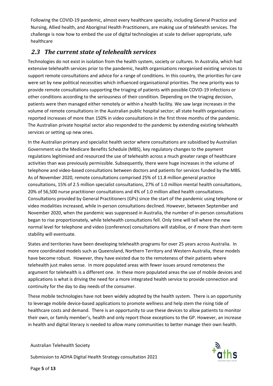Following the COVID-19 pandemic, almost every healthcare specialty, including General Practice and Nursing, Allied health, and Aboriginal Health Practitioners, are making use of telehealth services. The challenge is now how to embed the use of digital technologies at scale to deliver appropriate, safe healthcare

#### <span id="page-4-0"></span>*2.3 The current state of telehealth services*

Technologies do not exist in isolation from the health system, society or cultures. In Australia, which had extensive telehealth services prior to the pandemic, health organisations reorganised existing services to support remote consultations and advice for a range of conditions. In this country, the priorities for care were set by new political necessities which influenced organisational priorities. The new priority was to provide remote consultations supporting the triaging of patients with possible COVID-19 infections or other conditions according to the seriousness of their condition. Depending on the triaging decision, patients were then managed either remotely or within a health facility. We saw large increases in the volume of remote consultations in the Australian public hospital sector; all state health organisations reported increases of more than 150% in video consultations in the first three months of the pandemic. The Australian private hospital sector also responded to the pandemic by extending existing telehealth services or setting up new ones.

In the Australian primary and specialist health sector where consultations are subsidised by Australian Government via the Medicare Benefits Schedule (MBS), key regulatory changes to the payment regulations legitimised and resourced the use of telehealth across a much greater range of healthcare activities than was previously permissible. Subsequently, there were huge increases in the volume of telephone and video-based consultations between doctors and patients for services funded by the MBS. As of November 2020, remote consultations comprised 25% of 11.8 million general practice consultations, 15% of 2.5 million specialist consultations, 27% of 1.0 million mental health consultations, 20% of 56,500 nurse practitioner consultations and 4% of 1.0 million allied health consultations. Consultations provided by General Practitioners (GPs) since the start of the pandemic using telephone or video modalities increased, while in-person consultations declined. However, between September and November 2020, when the pandemic was suppressed in Australia, the number of in-person consultations began to rise proportionately, while telehealth consultations fell. Only time will tell where the new normal level for telephone and video (conference) consultations will stabilise, or if more than short-term stability will eventuate.

States and territories have been developing telehealth programs for over 25 years across Australia. In more coordinated models such as Queensland, Northern Territory and Western Australia, these models have become robust. However, they have existed due to the remoteness of their patients where telehealth just makes sense. In more populated areas with fewer issues around remoteness the argument for telehealth is a different one. In these more populated areas the use of mobile devices and applications is what is driving the need for a more integrated health service to provide connection and continuity for the day to day needs of the consumer.

These mobile technologies have not been widely adopted by the health system. There is an opportunity to leverage mobile device-based applications to promote wellness and help stem the rising tide of healthcare costs and demand. There is an opportunity to use these devices to allow patients to monitor their own, or family member's, health and only report those exceptions to the GP. However, an increase in health and digital literacy is needed to allow many communities to better manage their own health.

Australian Telehealth Society

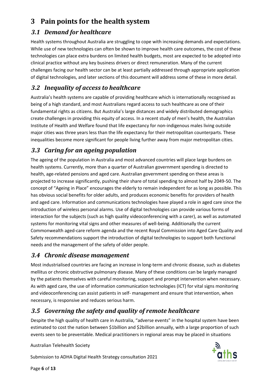## <span id="page-5-0"></span>**3 Pain points for the health system**

#### <span id="page-5-1"></span>*3.1 Demand for healthcare*

Health systems throughout Australia are struggling to cope with increasing demands and expectations. While use of new technologies can often be shown to improve health care outcomes, the cost of these technologies can place extra burdens on limited health budgets, most are expected to be adopted into clinical practice without any key business drivers or direct remuneration. Many of the current challenges facing our health sector can be at least partially addressed through appropriate application of digital technologies, and later sections of this document will address some of these in more detail.

## <span id="page-5-2"></span>*3.2 Inequality of access to healthcare*

Australia's health systems are capable of providing healthcare which is internationally recognised as being of a high standard, and most Australians regard access to such healthcare as one of their fundamental rights as citizens. But Australia's large distances and widely distributed demographics create challenges in providing this equity of access. In a recent study of men's health, the Australian Institute of Health and Welfare found that life expectancy for non-indigenous males living outside major cities was three years less than the life expectancy for their metropolitan counterparts. These inequalities become more significant for people living further away from major metropolitan cities.

## <span id="page-5-3"></span>*3.3 Caring for an ageing population*

The ageing of the population in Australia and most advanced countries will place large burdens on health systems. Currently, more than a quarter of Australian government spending is directed to health, age-related pensions and aged care. Australian government spending on these areas is projected to increase significantly, pushing their share of total spending to almost half by 2049-50. The concept of "Ageing in Place" encourages the elderly to remain independent for as long as possible. This has obvious social benefits for older adults, and produces economic benefits for providers of health and aged care. Information and communications technologies have played a role in aged care since the introduction of wireless personal alarms. Use of digital technologies can provide various forms of interaction for the subjects (such as high quality videoconferencing with a carer), as well as automated systems for monitoring vital signs and other measures of well-being. Additionally the current Commonwealth aged-care reform agenda and the recent Royal Commission into Aged Care Quality and Safety recommendations support the introduction of digital technologies to support both functional needs and the management of the safety of older people.

#### <span id="page-5-4"></span>*3.4 Chronic disease management*

Most industrialised countries are facing an increase in long-term and chronic disease, such as diabetes mellitus or chronic obstructive pulmonary disease. Many of these conditions can be largely managed by the patients themselves with careful monitoring, support and prompt intervention when necessary. As with aged care, the use of information communication technologies (ICT) for vital signs monitoring and videoconferencing can assist patients in self- management and ensure that intervention, when necessary, is responsive and reduces serious harm.

## <span id="page-5-5"></span>*3.5 Governing the safety and quality of remote healthcare*

Despite the high quality of health care in Australia, "adverse events" in the hospital system have been estimated to cost the nation between \$1billion and \$2billion annually, with a large proportion of such events seen to be preventable. Medical practitioners in regional areas may be placed in situations

Australian Telehealth Society





Page **6** of **13**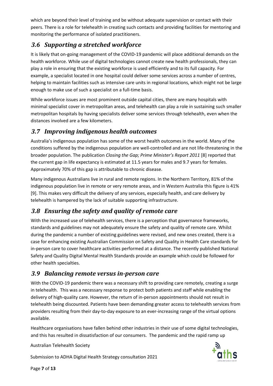which are beyond their level of training and be without adequate supervision or contact with their peers. There is a role for telehealth in creating such contacts and providing facilities for mentoring and monitoring the performance of isolated practitioners.

#### <span id="page-6-0"></span>*3.6 Supporting a stretched workforce*

It is likely that on-going management of the COVID-19 pandemic will place additional demands on the health workforce. While use of digital technologies cannot create new health professionals, they can play a role in ensuring that the existing workforce is used efficiently and to its full capacity. For example, a specialist located in one hospital could deliver some services across a number of centres, helping to maintain facilities such as intensive care units in regional locations, which might not be large enough to make use of such a specialist on a full-time basis.

While workforce issues are most prominent outside capital cities, there are many hospitals with minimal specialist cover in metropolitan areas, and telehealth can play a role in sustaining such smaller metropolitan hospitals by having specialists deliver some services through telehealth, even when the distances involved are a few kilometers.

#### <span id="page-6-1"></span>*3.7 Improving indigenous health outcomes*

Australia's indigenous population has some of the worst health outcomes in the world. Many of the conditions suffered by the indigenous population are well-controlled and are not life-threatening in the broader population. The publication *Closing the Gap; Prime Minister's Report 2011* [8] reported that the current gap in life expectancy is estimated at 11.5 years for males and 9.7 years for females. Approximately 70% of this gap is attributable to chronic disease.

Many indigenous Australians live in rural and remote regions. In the Northern Territory, 81% of the indigenous population live in remote or very remote areas, and in Western Australia this figure is 41% [9]. This makes very difficult the delivery of any services, especially health, and care delivery by telehealth is hampered by the lack of suitable supporting infrastructure.

## <span id="page-6-2"></span>*3.8 Ensuring the safety and quality of remote care*

With the increased use of telehealth services, there is a perception that governance frameworks, standards and guidelines may not adequately ensure the safety and quality of remote care. Whilst during the pandemic a number of existing guidelines were revised, and new ones created, there is a case for enhancing existing Australian Commission on Safety and Quality in Health Care standards for in-person care to cover healthcare activities performed at a distance. The recently published National Safety and Quality Digital Mental Health Standards provide an example which could be followed for other health specialties.

#### <span id="page-6-3"></span>*3.9 Balancing remote versus in-person care*

With the COVID-19 pandemic there was a necessary shift to providing care remotely, creating a surge in telehealth. This was a necessary response to protect both patients and staff while enabling the delivery of high-quality care. However, the return of in-person appointments should not result in telehealth being discounted. Patients have been demanding greater access to telehealth services from providers resulting from their day-to-day exposure to an ever-increasing range of the virtual options available.

Healthcare organisations have fallen behind other industries in their use of some digital technologies, and this has resulted in dissatisfaction of our consumers. The pandemic and the rapid ramp up

Australian Telehealth Society

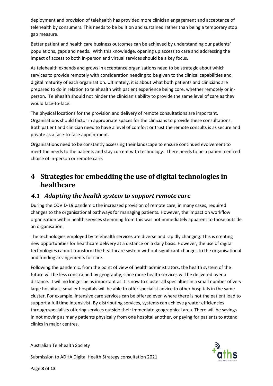deployment and provision of telehealth has provided more clinician engagement and acceptance of telehealth by consumers. This needs to be built on and sustained rather than being a temporary stop gap measure.

Better patient and health care business outcomes can be achieved by understanding our patients' populations, gaps and needs. With this knowledge, opening up access to care and addressing the impact of access to both in-person and virtual services should be a key focus.

As telehealth expands and grows in acceptance organisations need to be strategic about which services to provide remotely with consideration needing to be given to the clinical capabilities and digital maturity of each organisation. Ultimately, it is about what both patients and clinicians are prepared to do in relation to telehealth with patient experience being core, whether remotely or inperson. Telehealth should not hinder the clinician's ability to provide the same level of care as they would face-to-face.

The physical locations for the provision and delivery of remote consultations are important. Organisations should factor in appropriate spaces for the clinicians to provide these consultations. Both patient and clinician need to have a level of comfort or trust the remote consults is as secure and private as a face-to-face appointment.

Organisations need to be constantly assessing their landscape to ensure continued evolvement to meet the needs to the patients and stay current with technology. There needs to be a patient centred choice of in-person or remote care.

## <span id="page-7-0"></span>**4 Strategies for embedding the use of digital technologies in healthcare**

#### <span id="page-7-1"></span>*4.1 Adapting the health system to support remote care*

During the COVID-19 pandemic the increased provision of remote care, in many cases, required changes to the organisational pathways for managing patients. However, the impact on workflow organisation within health services stemming from this was not immediately apparent to those outside an organisation.

The technologies employed by telehealth services are diverse and rapidly changing. This is creating new opportunities for healthcare delivery at a distance on a daily basis. However, the use of digital technologies cannot transform the healthcare system without significant changes to the organisational and funding arrangements for care.

Following the pandemic, from the point of view of health administrators, the health system of the future will be less constrained by geography, since more health services will be delivered over a distance. It will no longer be as important as it is now to cluster all specialties in a small number of very large hospitals; smaller hospitals will be able to offer specialist advice to other hospitals in the same cluster. For example, intensive care services can be offered even where there is not the patient load to support a full time intensivist. By distributing services, systems can achieve greater efficiencies through specialists offering services outside their immediate geographical area. There will be savings in not moving as many patients physically from one hospital another, or paying for patients to attend clinics in major centres.

Australian Telehealth Society

Submission to ADHA Digital Health Strategy consultation 2021



Page **8** of **13**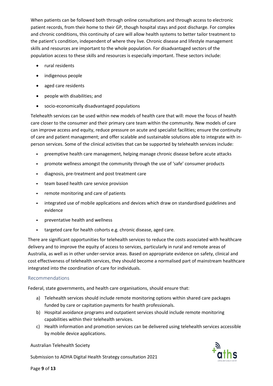When patients can be followed both through online consultations and through access to electronic patient records, from their home to their GP, though hospital stays and post discharge. For complex and chronic conditions, this continuity of care will allow health systems to better tailor treatment to the patient's condition, independent of where they live. Chronic disease and lifestyle management skills and resources are important to the whole population. For disadvantaged sectors of the population access to these skills and resources is especially important. These sectors include:

- rural residents
- indigenous people
- aged care residents
- people with disabilities; and
- socio-economically disadvantaged populations

Telehealth services can be used within new models of health care that will: move the focus of health care closer to the consumer and their primary care team within the community. New models of care can improve access and equity, reduce pressure on acute and specialist facilities; ensure the continuity of care and patient management; and offer scalable and sustainable solutions able to integrate with inperson services. Some of the clinical activities that can be supported by telehealth services include:

- preemptive health care management, helping manage chronic disease before acute attacks
- promote wellness amongst the community through the use of 'safe' consumer products  $\bullet$
- diagnosis, pre-treatment and post treatment care
- team based health care service provision  $\bullet$
- remote monitoring and care of patients
- integrated use of mobile applications and devices which draw on standardised guidelines and evidence
- preventative health and wellness
- targeted care for health cohorts e.g. chronic disease, aged care.

There are significant opportunities for telehealth services to reduce the costs associated with healthcare delivery and to improve the equity of access to services, particularly in rural and remote areas of Australia, as well as in other under-service areas. Based on appropriate evidence on safety, clinical and cost effectiveness of telehealth services, they should become a normalised part of mainstream healthcare integrated into the coordination of care for individuals.

#### <span id="page-8-0"></span>Recommendations

Federal, state governments, and health care organisations, should ensure that:

- a) Telehealth services should include remote monitoring options within shared care packages funded by care or capitation payments for health professionals.
- b) Hospital avoidance programs and outpatient services should include remote monitoring capabilities within their telehealth services.
- c) Health information and promotion services can be delivered using telehealth services accessible by mobile device applications.

Australian Telehealth Society

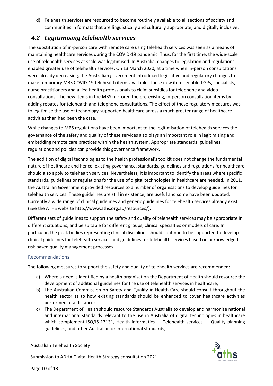d) Telehealth services are resourced to become routinely available to all sections of society and communities in formats that are linguistically and culturally appropriate, and digitally inclusive.

#### <span id="page-9-0"></span>*4.2 Legitimising telehealth services*

The substitution of in-person care with remote care using telehealth services was seen as a means of maintaining healthcare services during the COVID-19 pandemic. Thus, for the first time, the wide-scale use of telehealth services at scale was legitimised. In Australia, changes to legislation and regulations enabled greater use of telehealth services. On 13 March 2020, at a time when in-person consultations were already decreasing, the Australian government introduced legislative and regulatory changes to make temporary MBS COVID-19 telehealth items available. These new items enabled GPs, specialists, nurse practitioners and allied health professionals to claim subsidies for telephone and video consultations. The new items in the MBS mirrored the pre-existing, in-person consultation items by adding rebates for telehealth and telephone consultations. The effect of these regulatory measures was to legitimise the use of technology-supported healthcare across a much greater range of healthcare activities than had been the case.

While changes to MBS regulations have been important to the legitimisation of telehealth services the governance of the safety and quality of these services also plays an important role in legitimizing and embedding remote care practices within the health system. Appropriate standards, guidelines, regulations and policies can provide this governance framework.

The addition of digital technologies to the health professional's toolkit does not change the fundamental nature of healthcare and hence, existing governance, standards, guidelines and regulations for healthcare should also apply to telehealth services. Nevertheless, it is important to identify the areas where specific standards, guidelines or regulations for the use of digital technologies in healthcare are needed. In 2011, the Australian Government provided resources to a number of organisations to develop guidelines for telehealth services. These guidelines are still in existence, are useful and some have been updated. Currently a wide range of clinical guidelines and generic guidelines for telehealth services already exist (See the ATHS website http://www.aths.org.au/resources/).

Different sets of guidelines to support the safety and quality of telehealth services may be appropriate in different situations, and be suitable for different groups, clinical specialties or models of care. In particular, the peak bodies representing clinical disciplines should continue to be supported to develop clinical guidelines for telehealth services and guidelines for telehealth services based on acknowledged risk based quality management processes.

#### <span id="page-9-1"></span>Recommendations

The following measures to support the safety and quality of telehealth services are recommended:

- a) Where a need is identified by a health organisation the Department of Health should resource the development of additional guidelines for the use of telehealth services in healthcare;
- b) The Australian Commission on Safety and Quality in Health Care should consult throughout the health sector as to how existing standards should be enhanced to cover healthcare activities performed at a distance;
- c) The Department of Health should resource Standards Australia to develop and harmonise national and international standards relevant to the use in Australia of digital technologies in healthcare which complement ISO/IS 13131, Health informatics  $-$  Telehealth services  $-$  Quality planning guidelines, and other Australian or international standards;

#### Australian Telehealth Society

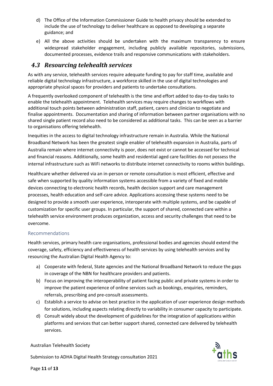- d) The Office of the Information Commissioner Guide to health privacy should be extended to include the use of technology to deliver healthcare as opposed to developing a separate guidance; and
- e) All the above activities should be undertaken with the maximum transparency to ensure widespread stakeholder engagement, including publicly available repositories, submissions, documented processes, evidence trails and responsive communications with stakeholders.

#### <span id="page-10-0"></span>*4.3 Resourcing telehealth services*

As with any service, telehealth services require adequate funding to pay for staff time, available and reliable digital technology infrastructure, a workforce skilled in the use of digital technologies and appropriate physical spaces for providers and patients to undertake consultations.

A frequently overlooked component of telehealth is the time and effort added to day-to-day tasks to enable the telehealth appointment. Telehealth services may require changes to workflows with additional touch points between administration staff, patient, carers and clinician to negotiate and finalise appointments. Documentation and sharing of information between partner organisations with no shared single patient record also need to be considered as additional tasks. This can be seen as a barrier to organisations offering telehealth.

Inequities in the access to digital technology infrastructure remain in Australia. While the National Broadband Network has been the greatest single enabler of telehealth expansion in Australia, parts of Australia remain where internet connectivity is poor, does not exist or cannot be accessed for technical and financial reasons. Additionally, some health and residential aged care facilities do not possess the internal infrastructure such as WiFi networks to distribute internet connectivity to rooms within buildings.

Healthcare whether delivered via an in-person or remote consultation is most efficient, effective and safe when supported by quality information systems accessible from a variety of fixed and mobile devices connecting to electronic health records, health decision support and care management processes, health education and self-care advice. Applications accessing these systems need to be designed to provide a smooth user experience, interoperate with multiple systems, and be capable of customization for specific user groups. In particular, the support of shared, connected care within a telehealth service environment produces organization, access and security challenges that need to be overcome.

#### <span id="page-10-1"></span>Recommendations

Health services, primary health care organisations, professional bodies and agencies should extend the coverage, safety, efficiency and effectiveness of health services by using telehealth services and by resourcing the Australian Digital Health Agency to:

- a) Cooperate with federal, State agencies and the National Broadband Network to reduce the gaps in coverage of the NBN for healthcare providers and patients.
- b) Focus on improving the interoperability of patient facing public and private systems in order to improve the patient experience of online services such as bookings, enquiries, reminders, referrals, prescribing and pre-consult assessments.
- c) Establish a service to advise on best practice in the application of user experience design methods for solutions, including aspects relating directly to variability in consumer capacity to participate.
- d) Consult widely about the development of guidelines for the integration of applications within platforms and services that can better support shared, connected care delivered by telehealth services.

Australian Telehealth Society





Page **11** of **13**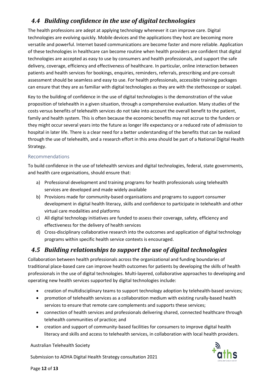#### <span id="page-11-0"></span>*4.4 Building confidence in the use of digital technologies*

The health professions are adept at applying technology whenever it can improve care. Digital technologies are evolving quickly. Mobile devices and the applications they host are becoming more versatile and powerful. Internet based communications are become faster and more reliable. Application of these technologies in healthcare can become routine when health providers are confident that digital technologies are accepted as easy to use by consumers and health professionals, and support the safe delivery, coverage, efficiency and effectiveness of healthcare. In particular, online interaction between patients and health services for bookings, enquiries, reminders, referrals, prescribing and pre-consult assessment should be seamless and easy to use. For health professionals, accessible training packages can ensure that they are as familiar with digital technologies as they are with the stethoscope or scalpel.

Key to the building of confidence in the use of digital technologies is the demonstration of the value proposition of telehealth in a given situation, through a comprehensive evaluation. Many studies of the costs versus benefits of telehealth services do not take into account the overall benefit to the patient, family and health system. This is often because the economic benefits may not accrue to the funders or they might occur several years into the future as longer life expectancy or a reduced rate of admission to hospital in later life. There is a clear need for a better understanding of the benefits that can be realized through the use of telehealth, and a research effort in this area should be part of a National Digital Health Strategy.

#### <span id="page-11-1"></span>Recommendations

To build confidence in the use of telehealth services and digital technologies, federal, state governments, and health care organisations, should ensure that:

- a) Professional development and training programs for health professionals using telehealth services are developed and made widely available
- b) Provisions made for community-based organisations and programs to support consumer development in digital health literacy, skills and confidence to participate in telehealth and other virtual care modalities and platforms
- c) All digital technology initiatives are funded to assess their coverage, safety, efficiency and effectiveness for the delivery of health services
- d) Cross-disciplinary collaborative research into the outcomes and application of digital technology programs within specific health service contexts is encouraged.

#### <span id="page-11-2"></span>*4.5 Building relationships to support the use of digital technologies*

Collaboration between health professionals across the organizational and funding boundaries of traditional place-based care can improve health outcomes for patients by developing the skills of health professionals in the use of digital technologies. Multi-layered, collaborative approaches to developing and operating new health services supported by digital technologies include:

- creation of multidisciplinary teams to support technology adoption by telehealth-based services;
- promotion of telehealth services as a collaboration medium with existing rurally-based health services to ensure that remote care complements and supports these services;
- connection of health services and professionals delivering shared, connected healthcare through telehealth communities of practice; and
- creation and support of community-based facilities for consumers to improve digital health literacy and skills and access to telehealth services, in collaboration with local health providers.

Australian Telehealth Society